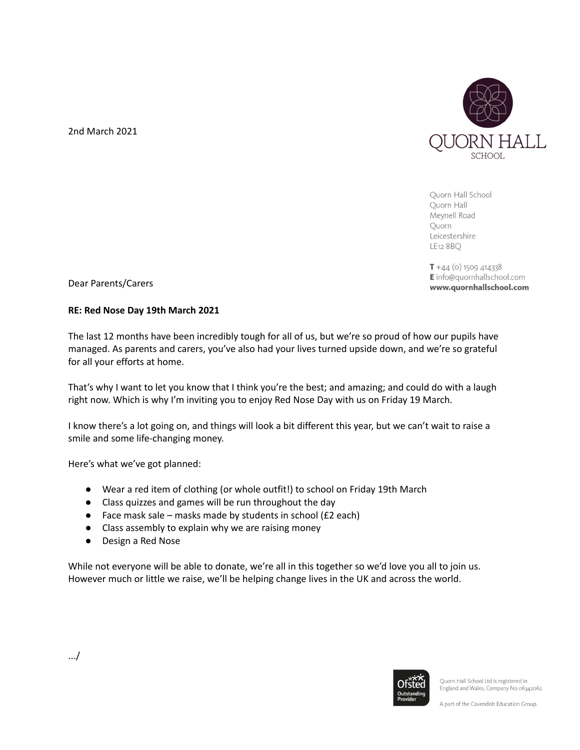2nd March 2021



Quorn Hall School Quorn Hall Meynell Road Quorn Leicestershire LE12 8 BQ

 $T + 44$  (o) 1509 414338 E info@quornhallschool.com www.quornhallschool.com

Dear Parents/Carers

## **RE: Red Nose Day 19th March 2021**

The last 12 months have been incredibly tough for all of us, but we're so proud of how our pupils have managed. As parents and carers, you've also had your lives turned upside down, and we're so grateful for all your efforts at home.

That's why I want to let you know that I think you're the best; and amazing; and could do with a laugh right now. Which is why I'm inviting you to enjoy Red Nose Day with us on Friday 19 March.

I know there's a lot going on, and things will look a bit different this year, but we can't wait to raise a smile and some life-changing money.

Here's what we've got planned:

- Wear a red item of clothing (or whole outfit!) to school on Friday 19th March
- Class quizzes and games will be run throughout the day
- Face mask sale masks made by students in school  $(f2 \text{ each})$
- Class assembly to explain why we are raising money
- Design a Red Nose

While not everyone will be able to donate, we're all in this together so we'd love you all to join us. However much or little we raise, we'll be helping change lives in the UK and across the world.



Quorn Hall School Ltd is registered in England and Wales. Company No 06342062.

A part of the Cavendish Education Group.